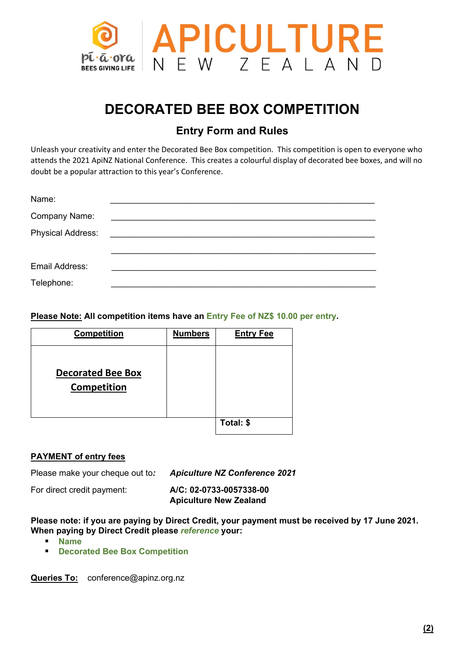

# **DECORATED BEE BOX COMPETITION**

# **Entry Form and Rules**

Unleash your creativity and enter the Decorated Bee Box competition. This competition is open to everyone who attends the 2021 ApiNZ National Conference. This creates a colourful display of decorated bee boxes, and will no doubt be a popular attraction to this year's Conference.

| Name:                    |  |
|--------------------------|--|
| Company Name:            |  |
| <b>Physical Address:</b> |  |
|                          |  |
| Email Address:           |  |
| Telephone:               |  |

### **Please Note: All competition items have an Entry Fee of NZ\$ 10.00 per entry.**

| <b>Competition</b>                             | <b>Numbers</b> | <b>Entry Fee</b> |
|------------------------------------------------|----------------|------------------|
| <b>Decorated Bee Box</b><br><b>Competition</b> |                |                  |
|                                                |                | Total: \$        |

## **PAYMENT of entry fees**

Please make your cheque out to*: Apiculture NZ Conference 2021*

For direct credit payment: **A/C: 02-0733-0057338-00 Apiculture New Zealand**

#### **Please note: if you are paying by Direct Credit, your payment must be received by 17 June 2021. When paying by Direct Credit please** *reference* **your:**

- **Name**
- **Decorated Bee Box Competition**

Queries To: conference@apinz.org.nz